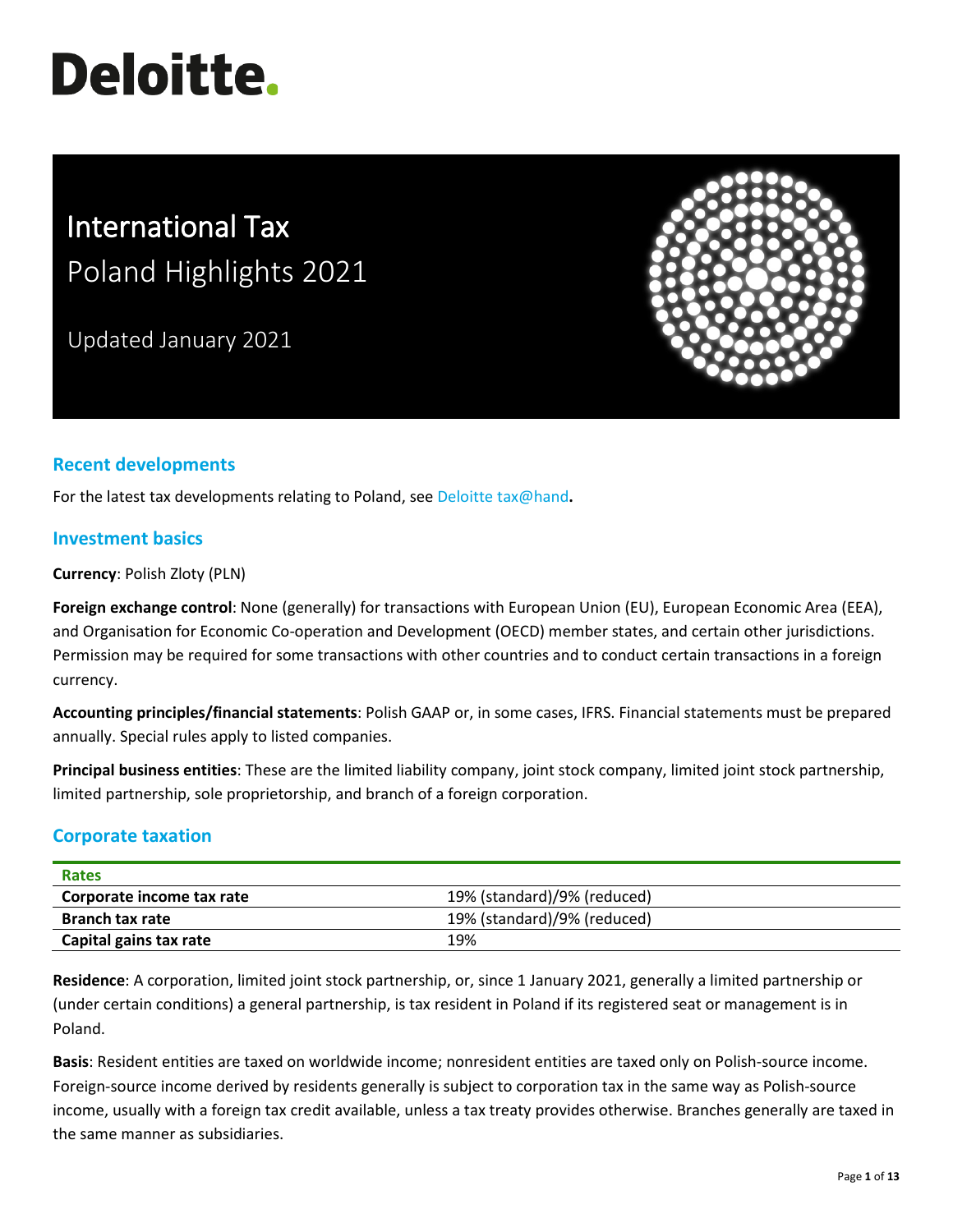# **Deloitte.**

## International Tax Poland Highlights 2021

Updated January 2021



### **Recent developments**

For the latest tax developments relating to Poland, see [Deloitte tax@hand](https://www.taxathand.com/world-news/Poland)**.**

#### **Investment basics**

**Currency**: Polish Zloty (PLN)

**Foreign exchange control**: None (generally) for transactions with European Union (EU), European Economic Area (EEA), and Organisation for Economic Co-operation and Development (OECD) member states, and certain other jurisdictions. Permission may be required for some transactions with other countries and to conduct certain transactions in a foreign currency.

**Accounting principles/financial statements**: Polish GAAP or, in some cases, IFRS. Financial statements must be prepared annually. Special rules apply to listed companies.

**Principal business entities**: These are the limited liability company, joint stock company, limited joint stock partnership, limited partnership, sole proprietorship, and branch of a foreign corporation.

#### **Corporate taxation**

| <b>Rates</b>              |                             |
|---------------------------|-----------------------------|
| Corporate income tax rate | 19% (standard)/9% (reduced) |
| <b>Branch tax rate</b>    | 19% (standard)/9% (reduced) |
| Capital gains tax rate    | 19%                         |

**Residence**: A corporation, limited joint stock partnership, or, since 1 January 2021, generally a limited partnership or (under certain conditions) a general partnership, is tax resident in Poland if its registered seat or management is in Poland.

**Basis**: Resident entities are taxed on worldwide income; nonresident entities are taxed only on Polish-source income. Foreign-source income derived by residents generally is subject to corporation tax in the same way as Polish-source income, usually with a foreign tax credit available, unless a tax treaty provides otherwise. Branches generally are taxed in the same manner as subsidiaries.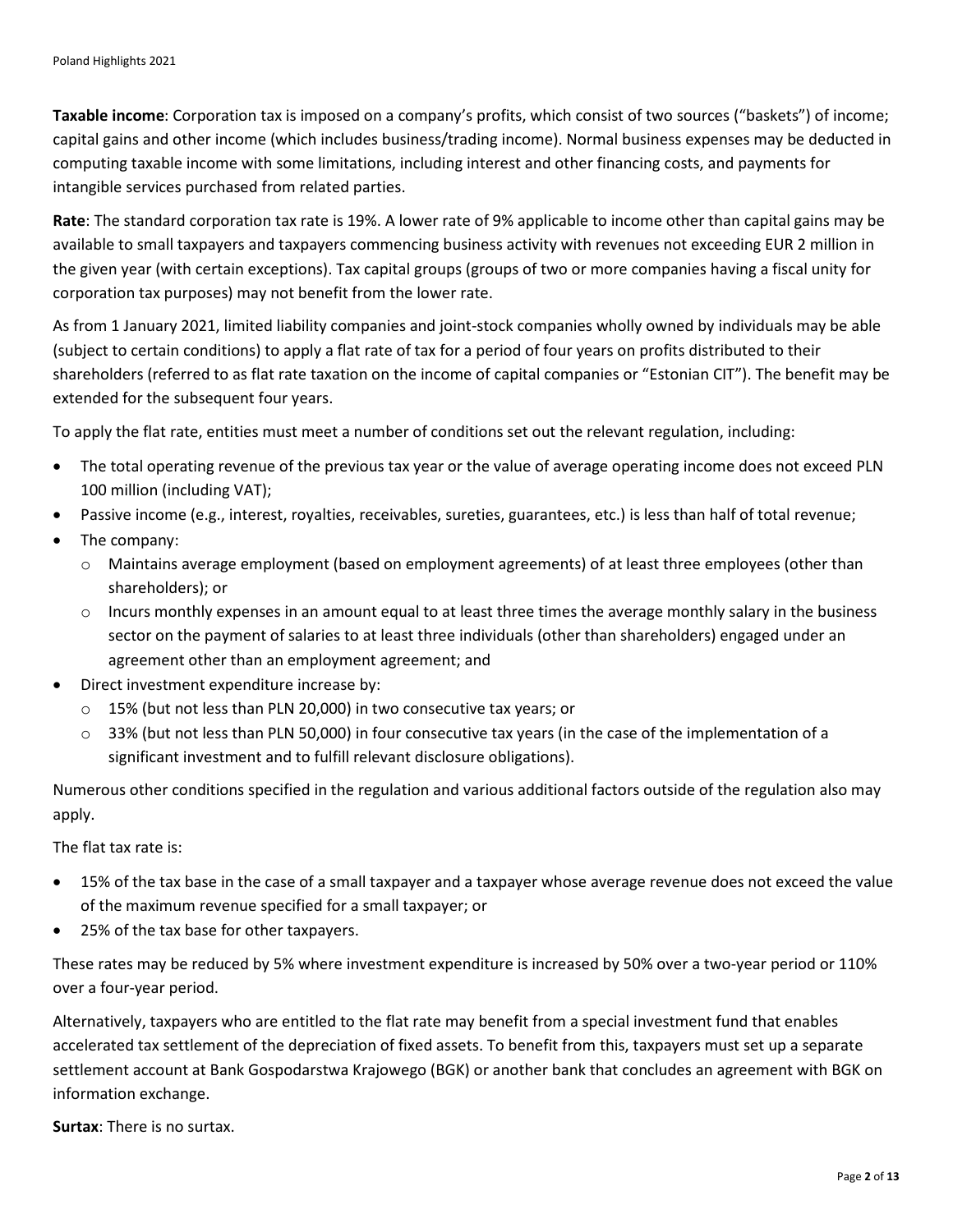**Taxable income**: Corporation tax is imposed on a company's profits, which consist of two sources ("baskets") of income; capital gains and other income (which includes business/trading income). Normal business expenses may be deducted in computing taxable income with some limitations, including interest and other financing costs, and payments for intangible services purchased from related parties.

**Rate**: The standard corporation tax rate is 19%. A lower rate of 9% applicable to income other than capital gains may be available to small taxpayers and taxpayers commencing business activity with revenues not exceeding EUR 2 million in the given year (with certain exceptions). Tax capital groups (groups of two or more companies having a fiscal unity for corporation tax purposes) may not benefit from the lower rate.

As from 1 January 2021, limited liability companies and joint-stock companies wholly owned by individuals may be able (subject to certain conditions) to apply a flat rate of tax for a period of four years on profits distributed to their shareholders (referred to as flat rate taxation on the income of capital companies or "Estonian CIT"). The benefit may be extended for the subsequent four years.

To apply the flat rate, entities must meet a number of conditions set out the relevant regulation, including:

- The total operating revenue of the previous tax year or the value of average operating income does not exceed PLN 100 million (including VAT);
- Passive income (e.g., interest, royalties, receivables, sureties, guarantees, etc.) is less than half of total revenue;
- The company:
	- o Maintains average employment (based on employment agreements) of at least three employees (other than shareholders); or
	- $\circ$  Incurs monthly expenses in an amount equal to at least three times the average monthly salary in the business sector on the payment of salaries to at least three individuals (other than shareholders) engaged under an agreement other than an employment agreement; and
- Direct investment expenditure increase by:
	- o 15% (but not less than PLN 20,000) in two consecutive tax years; or
	- $\circ$  33% (but not less than PLN 50,000) in four consecutive tax years (in the case of the implementation of a significant investment and to fulfill relevant disclosure obligations).

Numerous other conditions specified in the regulation and various additional factors outside of the regulation also may apply.

The flat tax rate is:

- 15% of the tax base in the case of a small taxpayer and a taxpayer whose average revenue does not exceed the value of the maximum revenue specified for a small taxpayer; or
- 25% of the tax base for other taxpayers.

These rates may be reduced by 5% where investment expenditure is increased by 50% over a two-year period or 110% over a four-year period.

Alternatively, taxpayers who are entitled to the flat rate may benefit from a special investment fund that enables accelerated tax settlement of the depreciation of fixed assets. To benefit from this, taxpayers must set up a separate settlement account at Bank Gospodarstwa Krajowego (BGK) or another bank that concludes an agreement with BGK on information exchange.

**Surtax**: There is no surtax.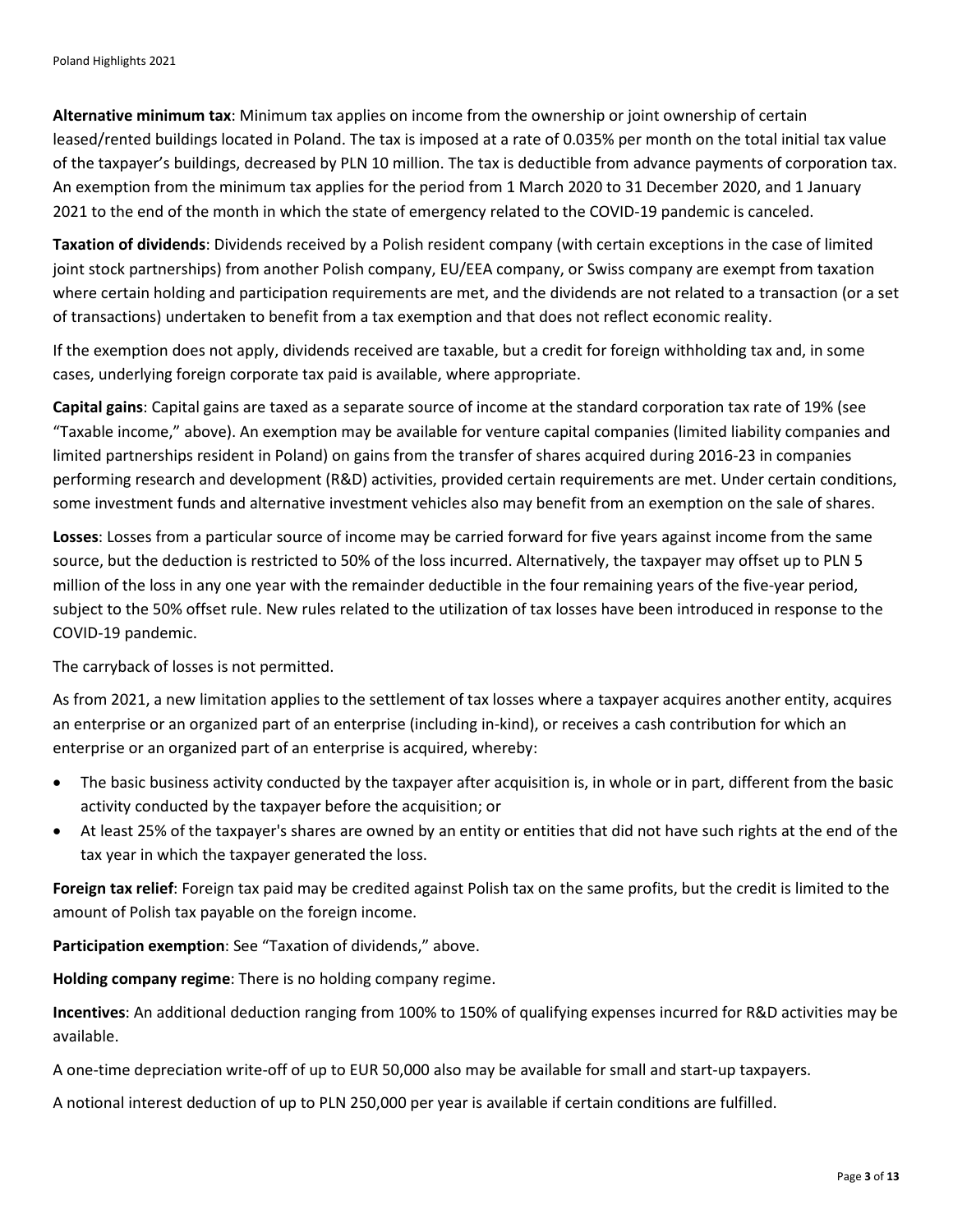**Alternative minimum tax**: Minimum tax applies on income from the ownership or joint ownership of certain leased/rented buildings located in Poland. The tax is imposed at a rate of 0.035% per month on the total initial tax value of the taxpayer's buildings, decreased by PLN 10 million. The tax is deductible from advance payments of corporation tax. An exemption from the minimum tax applies for the period from 1 March 2020 to 31 December 2020, and 1 January 2021 to the end of the month in which the state of emergency related to the COVID-19 pandemic is canceled.

**Taxation of dividends**: Dividends received by a Polish resident company (with certain exceptions in the case of limited joint stock partnerships) from another Polish company, EU/EEA company, or Swiss company are exempt from taxation where certain holding and participation requirements are met, and the dividends are not related to a transaction (or a set of transactions) undertaken to benefit from a tax exemption and that does not reflect economic reality.

If the exemption does not apply, dividends received are taxable, but a credit for foreign withholding tax and, in some cases, underlying foreign corporate tax paid is available, where appropriate.

**Capital gains**: Capital gains are taxed as a separate source of income at the standard corporation tax rate of 19% (see "Taxable income," above). An exemption may be available for venture capital companies (limited liability companies and limited partnerships resident in Poland) on gains from the transfer of shares acquired during 2016-23 in companies performing research and development (R&D) activities, provided certain requirements are met. Under certain conditions, some investment funds and alternative investment vehicles also may benefit from an exemption on the sale of shares.

**Losses**: Losses from a particular source of income may be carried forward for five years against income from the same source, but the deduction is restricted to 50% of the loss incurred. Alternatively, the taxpayer may offset up to PLN 5 million of the loss in any one year with the remainder deductible in the four remaining years of the five-year period, subject to the 50% offset rule. New rules related to the utilization of tax losses have been introduced in response to the COVID-19 pandemic.

The carryback of losses is not permitted.

As from 2021, a new limitation applies to the settlement of tax losses where a taxpayer acquires another entity, acquires an enterprise or an organized part of an enterprise (including in-kind), or receives a cash contribution for which an enterprise or an organized part of an enterprise is acquired, whereby:

- The basic business activity conducted by the taxpayer after acquisition is, in whole or in part, different from the basic activity conducted by the taxpayer before the acquisition; or
- At least 25% of the taxpayer's shares are owned by an entity or entities that did not have such rights at the end of the tax year in which the taxpayer generated the loss.

**Foreign tax relief**: Foreign tax paid may be credited against Polish tax on the same profits, but the credit is limited to the amount of Polish tax payable on the foreign income.

**Participation exemption**: See "Taxation of dividends," above.

**Holding company regime**: There is no holding company regime.

**Incentives**: An additional deduction ranging from 100% to 150% of qualifying expenses incurred for R&D activities may be available.

A one-time depreciation write-off of up to EUR 50,000 also may be available for small and start-up taxpayers.

A notional interest deduction of up to PLN 250,000 per year is available if certain conditions are fulfilled.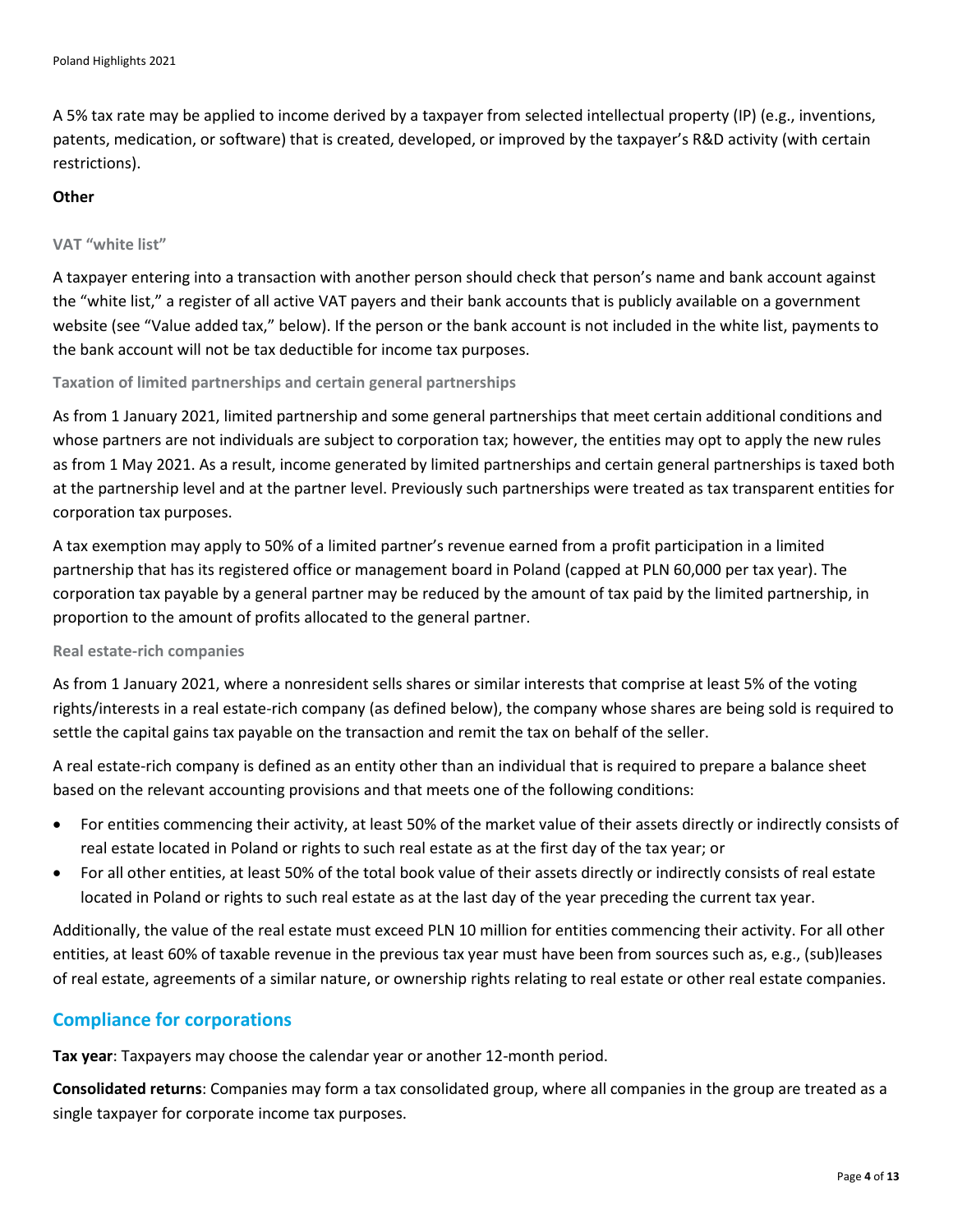A 5% tax rate may be applied to income derived by a taxpayer from selected intellectual property (IP) (e.g., inventions, patents, medication, or software) that is created, developed, or improved by the taxpayer's R&D activity (with certain restrictions).

#### **Other**

#### **VAT "white list"**

A taxpayer entering into a transaction with another person should check that person's name and bank account against the "white list," a register of all active VAT payers and their bank accounts that is publicly available on a government website (see "Value added tax," below). If the person or the bank account is not included in the white list, payments to the bank account will not be tax deductible for income tax purposes.

#### **Taxation of limited partnerships and certain general partnerships**

As from 1 January 2021, limited partnership and some general partnerships that meet certain additional conditions and whose partners are not individuals are subject to corporation tax; however, the entities may opt to apply the new rules as from 1 May 2021. As a result, income generated by limited partnerships and certain general partnerships is taxed both at the partnership level and at the partner level. Previously such partnerships were treated as tax transparent entities for corporation tax purposes.

A tax exemption may apply to 50% of a limited partner's revenue earned from a profit participation in a limited partnership that has its registered office or management board in Poland (capped at PLN 60,000 per tax year). The corporation tax payable by a general partner may be reduced by the amount of tax paid by the limited partnership, in proportion to the amount of profits allocated to the general partner.

#### **Real estate-rich companies**

As from 1 January 2021, where a nonresident sells shares or similar interests that comprise at least 5% of the voting rights/interests in a real estate-rich company (as defined below), the company whose shares are being sold is required to settle the capital gains tax payable on the transaction and remit the tax on behalf of the seller.

A real estate-rich company is defined as an entity other than an individual that is required to prepare a balance sheet based on the relevant accounting provisions and that meets one of the following conditions:

- For entities commencing their activity, at least 50% of the market value of their assets directly or indirectly consists of real estate located in Poland or rights to such real estate as at the first day of the tax year; or
- For all other entities, at least 50% of the total book value of their assets directly or indirectly consists of real estate located in Poland or rights to such real estate as at the last day of the year preceding the current tax year.

Additionally, the value of the real estate must exceed PLN 10 million for entities commencing their activity. For all other entities, at least 60% of taxable revenue in the previous tax year must have been from sources such as, e.g., (sub)leases of real estate, agreements of a similar nature, or ownership rights relating to real estate or other real estate companies.

#### **Compliance for corporations**

**Tax year**: Taxpayers may choose the calendar year or another 12-month period.

**Consolidated returns**: Companies may form a tax consolidated group, where all companies in the group are treated as a single taxpayer for corporate income tax purposes.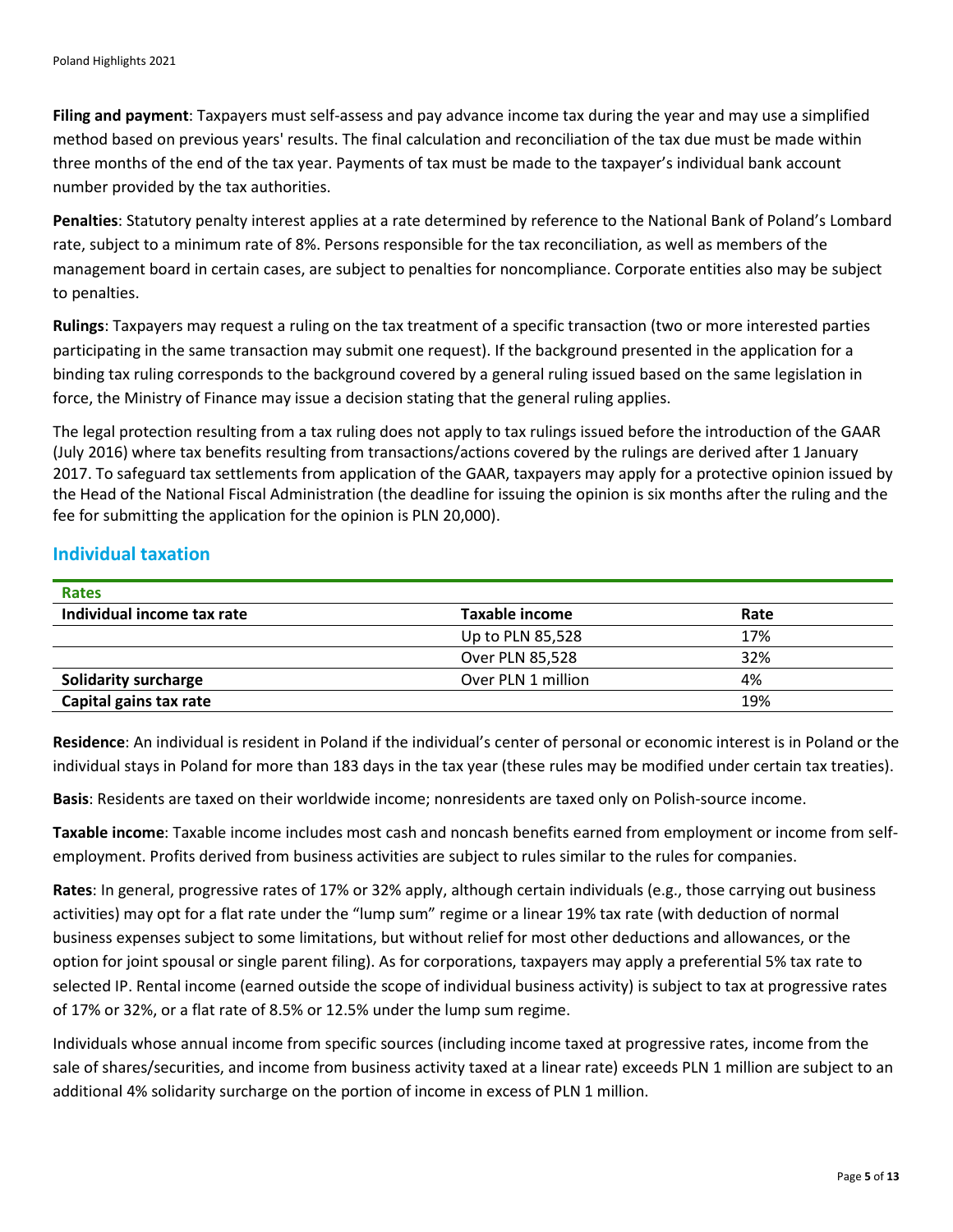**Filing and payment**: Taxpayers must self-assess and pay advance income tax during the year and may use a simplified method based on previous years' results. The final calculation and reconciliation of the tax due must be made within three months of the end of the tax year. Payments of tax must be made to the taxpayer's individual bank account number provided by the tax authorities.

**Penalties**: Statutory penalty interest applies at a rate determined by reference to the National Bank of Poland's Lombard rate, subject to a minimum rate of 8%. Persons responsible for the tax reconciliation, as well as members of the management board in certain cases, are subject to penalties for noncompliance. Corporate entities also may be subject to penalties.

**Rulings**: Taxpayers may request a ruling on the tax treatment of a specific transaction (two or more interested parties participating in the same transaction may submit one request). If the background presented in the application for a binding tax ruling corresponds to the background covered by a general ruling issued based on the same legislation in force, the Ministry of Finance may issue a decision stating that the general ruling applies.

The legal protection resulting from a tax ruling does not apply to tax rulings issued before the introduction of the GAAR (July 2016) where tax benefits resulting from transactions/actions covered by the rulings are derived after 1 January 2017. To safeguard tax settlements from application of the GAAR, taxpayers may apply for a protective opinion issued by the Head of the National Fiscal Administration (the deadline for issuing the opinion is six months after the ruling and the fee for submitting the application for the opinion is PLN 20,000).

#### **Individual taxation**

| <b>Rates</b>                |                    |      |  |
|-----------------------------|--------------------|------|--|
| Individual income tax rate  | Taxable income     | Rate |  |
|                             | Up to PLN 85,528   | 17%  |  |
|                             | Over PLN 85,528    | 32%  |  |
| <b>Solidarity surcharge</b> | Over PLN 1 million | 4%   |  |
| Capital gains tax rate      |                    | 19%  |  |

**Residence**: An individual is resident in Poland if the individual's center of personal or economic interest is in Poland or the individual stays in Poland for more than 183 days in the tax year (these rules may be modified under certain tax treaties).

**Basis**: Residents are taxed on their worldwide income; nonresidents are taxed only on Polish-source income.

**Taxable income**: Taxable income includes most cash and noncash benefits earned from employment or income from selfemployment. Profits derived from business activities are subject to rules similar to the rules for companies.

**Rates**: In general, progressive rates of 17% or 32% apply, although certain individuals (e.g., those carrying out business activities) may opt for a flat rate under the "lump sum" regime or a linear 19% tax rate (with deduction of normal business expenses subject to some limitations, but without relief for most other deductions and allowances, or the option for joint spousal or single parent filing). As for corporations, taxpayers may apply a preferential 5% tax rate to selected IP. Rental income (earned outside the scope of individual business activity) is subject to tax at progressive rates of 17% or 32%, or a flat rate of 8.5% or 12.5% under the lump sum regime.

Individuals whose annual income from specific sources (including income taxed at progressive rates, income from the sale of shares/securities, and income from business activity taxed at a linear rate) exceeds PLN 1 million are subject to an additional 4% solidarity surcharge on the portion of income in excess of PLN 1 million.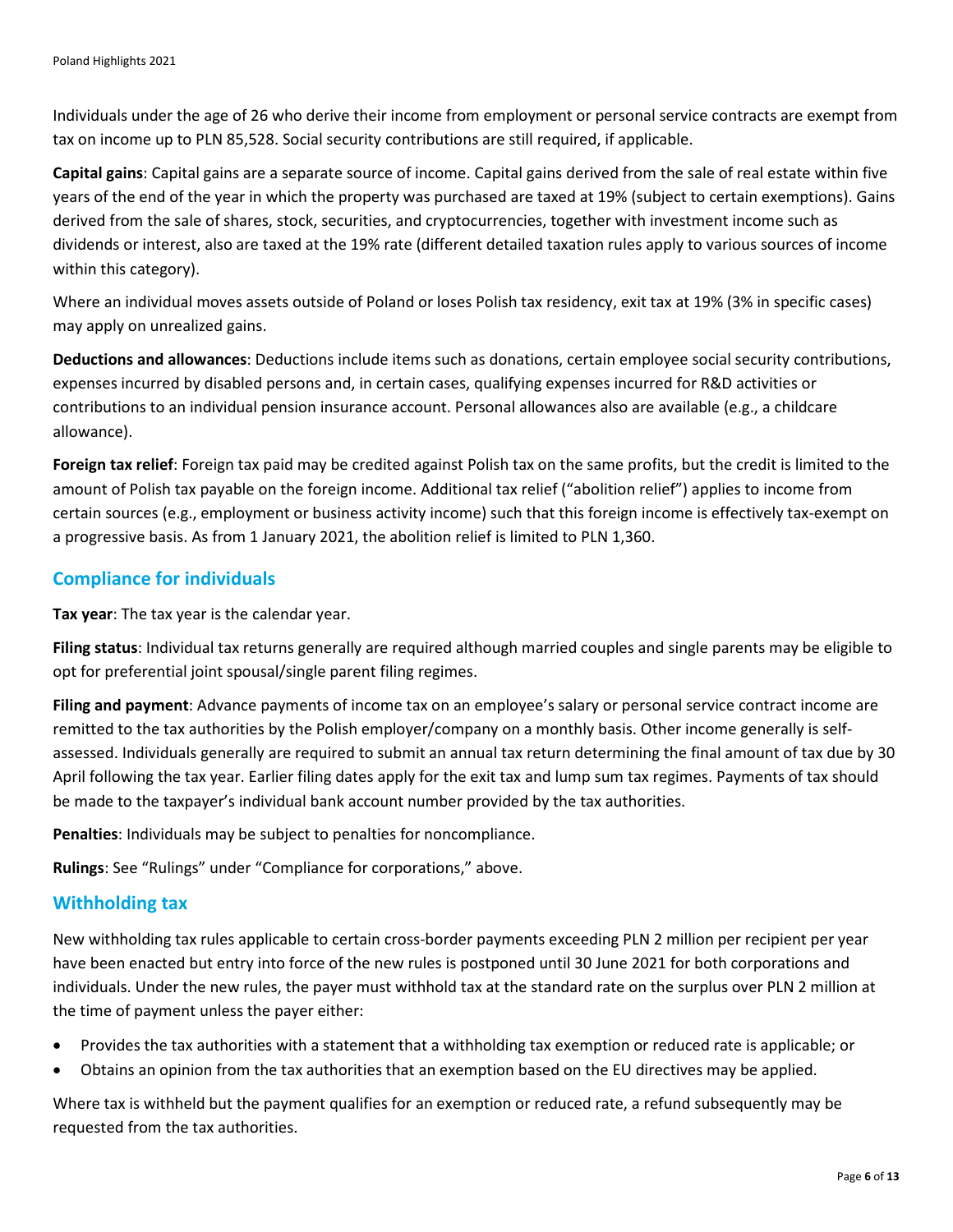Individuals under the age of 26 who derive their income from employment or personal service contracts are exempt from tax on income up to PLN 85,528. Social security contributions are still required, if applicable.

**Capital gains**: Capital gains are a separate source of income. Capital gains derived from the sale of real estate within five years of the end of the year in which the property was purchased are taxed at 19% (subject to certain exemptions). Gains derived from the sale of shares, stock, securities, and cryptocurrencies, together with investment income such as dividends or interest, also are taxed at the 19% rate (different detailed taxation rules apply to various sources of income within this category).

Where an individual moves assets outside of Poland or loses Polish tax residency, exit tax at 19% (3% in specific cases) may apply on unrealized gains.

**Deductions and allowances**: Deductions include items such as donations, certain employee social security contributions, expenses incurred by disabled persons and, in certain cases, qualifying expenses incurred for R&D activities or contributions to an individual pension insurance account. Personal allowances also are available (e.g., a childcare allowance).

**Foreign tax relief**: Foreign tax paid may be credited against Polish tax on the same profits, but the credit is limited to the amount of Polish tax payable on the foreign income. Additional tax relief ("abolition relief") applies to income from certain sources (e.g., employment or business activity income) such that this foreign income is effectively tax-exempt on a progressive basis. As from 1 January 2021, the abolition relief is limited to PLN 1,360.

#### **Compliance for individuals**

**Tax year**: The tax year is the calendar year.

**Filing status**: Individual tax returns generally are required although married couples and single parents may be eligible to opt for preferential joint spousal/single parent filing regimes.

**Filing and payment**: Advance payments of income tax on an employee's salary or personal service contract income are remitted to the tax authorities by the Polish employer/company on a monthly basis. Other income generally is selfassessed. Individuals generally are required to submit an annual tax return determining the final amount of tax due by 30 April following the tax year. Earlier filing dates apply for the exit tax and lump sum tax regimes. Payments of tax should be made to the taxpayer's individual bank account number provided by the tax authorities.

**Penalties**: Individuals may be subject to penalties for noncompliance.

**Rulings**: See "Rulings" under "Compliance for corporations," above.

#### **Withholding tax**

New withholding tax rules applicable to certain cross-border payments exceeding PLN 2 million per recipient per year have been enacted but entry into force of the new rules is postponed until 30 June 2021 for both corporations and individuals. Under the new rules, the payer must withhold tax at the standard rate on the surplus over PLN 2 million at the time of payment unless the payer either:

- Provides the tax authorities with a statement that a withholding tax exemption or reduced rate is applicable; or
- Obtains an opinion from the tax authorities that an exemption based on the EU directives may be applied.

Where tax is withheld but the payment qualifies for an exemption or reduced rate, a refund subsequently may be requested from the tax authorities.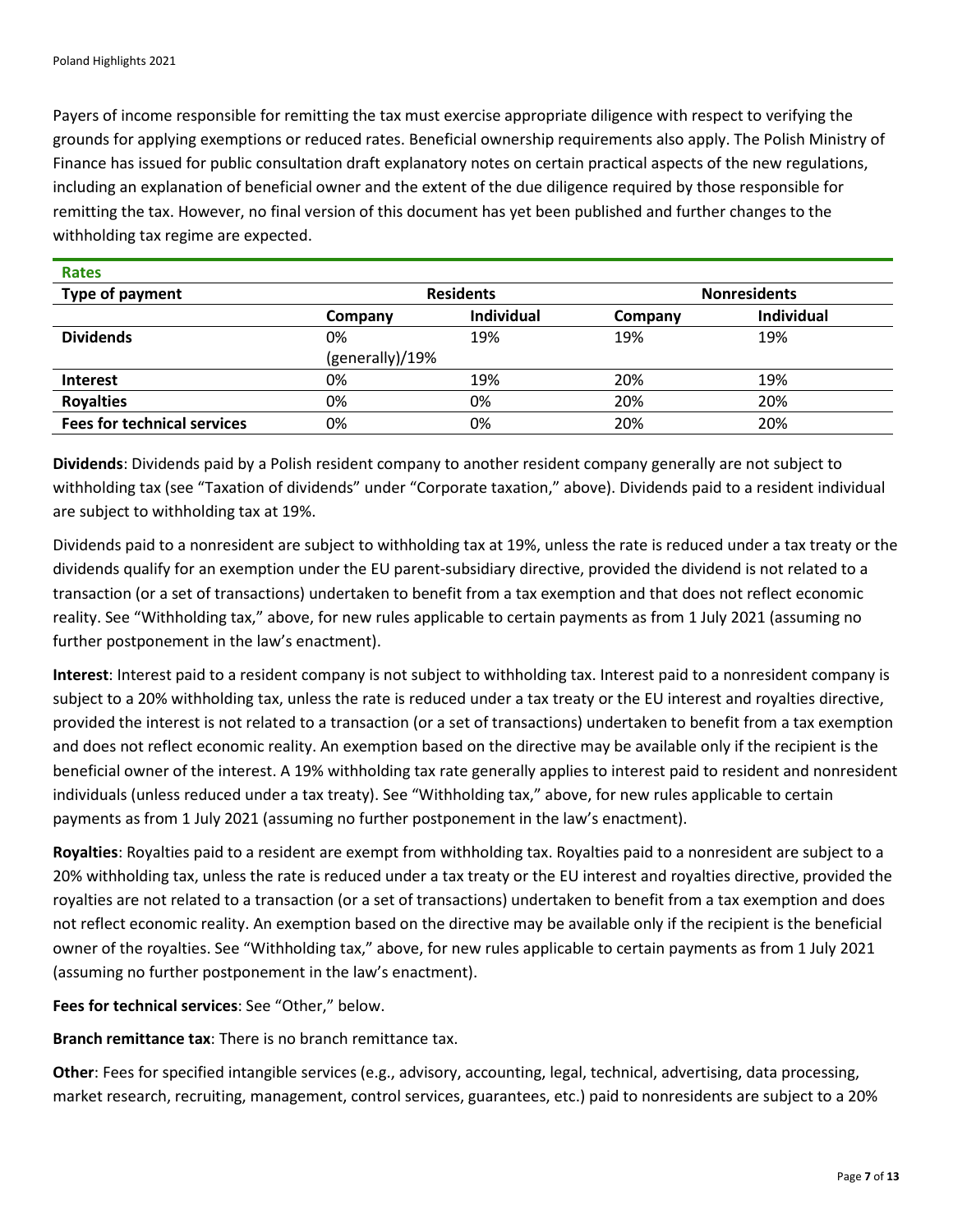Payers of income responsible for remitting the tax must exercise appropriate diligence with respect to verifying the grounds for applying exemptions or reduced rates. Beneficial ownership requirements also apply. The Polish Ministry of Finance has issued for public consultation draft explanatory notes on certain practical aspects of the new regulations, including an explanation of beneficial owner and the extent of the due diligence required by those responsible for remitting the tax. However, no final version of this document has yet been published and further changes to the withholding tax regime are expected.

| <b>Rates</b>                       |                  |                   |                     |                   |
|------------------------------------|------------------|-------------------|---------------------|-------------------|
| Type of payment                    | <b>Residents</b> |                   | <b>Nonresidents</b> |                   |
|                                    | Company          | <b>Individual</b> | Company             | <b>Individual</b> |
| <b>Dividends</b>                   | 0%               | 19%               | 19%                 | 19%               |
|                                    | (generally)/19%  |                   |                     |                   |
| <b>Interest</b>                    | 0%               | 19%               | 20%                 | 19%               |
| <b>Royalties</b>                   | 0%               | 0%                | 20%                 | 20%               |
| <b>Fees for technical services</b> | 0%               | 0%                | 20%                 | 20%               |

**Dividends**: Dividends paid by a Polish resident company to another resident company generally are not subject to withholding tax (see "Taxation of dividends" under "Corporate taxation," above). Dividends paid to a resident individual are subject to withholding tax at 19%.

Dividends paid to a nonresident are subject to withholding tax at 19%, unless the rate is reduced under a tax treaty or the dividends qualify for an exemption under the EU parent-subsidiary directive, provided the dividend is not related to a transaction (or a set of transactions) undertaken to benefit from a tax exemption and that does not reflect economic reality. See "Withholding tax," above, for new rules applicable to certain payments as from 1 July 2021 (assuming no further postponement in the law's enactment).

**Interest**: Interest paid to a resident company is not subject to withholding tax. Interest paid to a nonresident company is subject to a 20% withholding tax, unless the rate is reduced under a tax treaty or the EU interest and royalties directive, provided the interest is not related to a transaction (or a set of transactions) undertaken to benefit from a tax exemption and does not reflect economic reality. An exemption based on the directive may be available only if the recipient is the beneficial owner of the interest. A 19% withholding tax rate generally applies to interest paid to resident and nonresident individuals (unless reduced under a tax treaty). See "Withholding tax," above, for new rules applicable to certain payments as from 1 July 2021 (assuming no further postponement in the law's enactment).

**Royalties**: Royalties paid to a resident are exempt from withholding tax. Royalties paid to a nonresident are subject to a 20% withholding tax, unless the rate is reduced under a tax treaty or the EU interest and royalties directive, provided the royalties are not related to a transaction (or a set of transactions) undertaken to benefit from a tax exemption and does not reflect economic reality. An exemption based on the directive may be available only if the recipient is the beneficial owner of the royalties. See "Withholding tax," above, for new rules applicable to certain payments as from 1 July 2021 (assuming no further postponement in the law's enactment).

**Fees for technical services**: See "Other," below.

**Branch remittance tax**: There is no branch remittance tax.

**Other**: Fees for specified intangible services (e.g., advisory, accounting, legal, technical, advertising, data processing, market research, recruiting, management, control services, guarantees, etc.) paid to nonresidents are subject to a 20%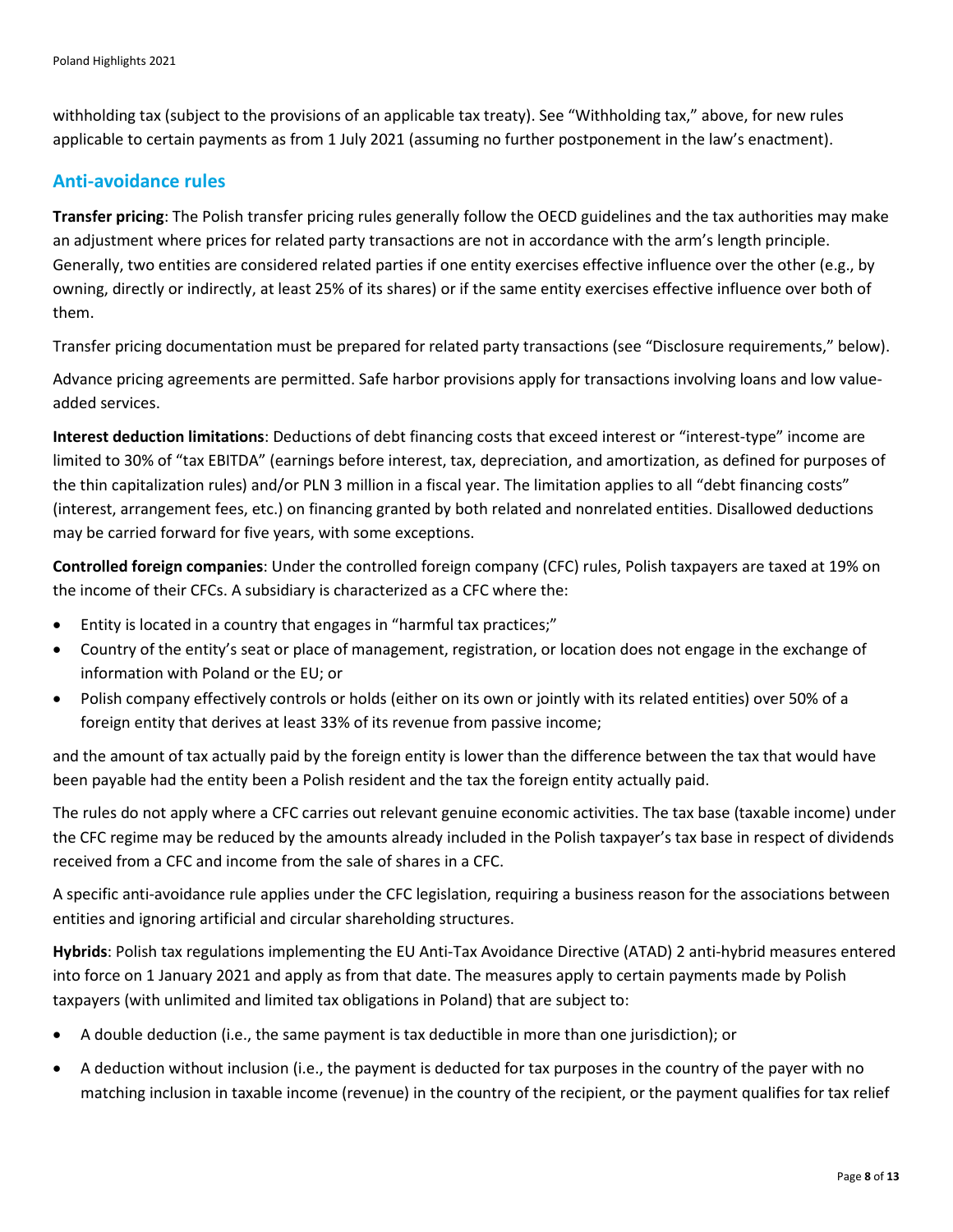withholding tax (subject to the provisions of an applicable tax treaty). See "Withholding tax," above, for new rules applicable to certain payments as from 1 July 2021 (assuming no further postponement in the law's enactment).

#### **Anti-avoidance rules**

**Transfer pricing**: The Polish transfer pricing rules generally follow the OECD guidelines and the tax authorities may make an adjustment where prices for related party transactions are not in accordance with the arm's length principle. Generally, two entities are considered related parties if one entity exercises effective influence over the other (e.g., by owning, directly or indirectly, at least 25% of its shares) or if the same entity exercises effective influence over both of them.

Transfer pricing documentation must be prepared for related party transactions (see "Disclosure requirements," below).

Advance pricing agreements are permitted. Safe harbor provisions apply for transactions involving loans and low valueadded services.

**Interest deduction limitations**: Deductions of debt financing costs that exceed interest or "interest-type" income are limited to 30% of "tax EBITDA" (earnings before interest, tax, depreciation, and amortization, as defined for purposes of the thin capitalization rules) and/or PLN 3 million in a fiscal year. The limitation applies to all "debt financing costs" (interest, arrangement fees, etc.) on financing granted by both related and nonrelated entities. Disallowed deductions may be carried forward for five years, with some exceptions.

**Controlled foreign companies**: Under the controlled foreign company (CFC) rules, Polish taxpayers are taxed at 19% on the income of their CFCs. A subsidiary is characterized as a CFC where the:

- Entity is located in a country that engages in "harmful tax practices;"
- Country of the entity's seat or place of management, registration, or location does not engage in the exchange of information with Poland or the EU; or
- Polish company effectively controls or holds (either on its own or jointly with its related entities) over 50% of a foreign entity that derives at least 33% of its revenue from passive income;

and the amount of tax actually paid by the foreign entity is lower than the difference between the tax that would have been payable had the entity been a Polish resident and the tax the foreign entity actually paid.

The rules do not apply where a CFC carries out relevant genuine economic activities. The tax base (taxable income) under the CFC regime may be reduced by the amounts already included in the Polish taxpayer's tax base in respect of dividends received from a CFC and income from the sale of shares in a CFC.

A specific anti-avoidance rule applies under the CFC legislation, requiring a business reason for the associations between entities and ignoring artificial and circular shareholding structures.

**Hybrids**: Polish tax regulations implementing the EU Anti-Tax Avoidance Directive (ATAD) 2 anti-hybrid measures entered into force on 1 January 2021 and apply as from that date. The measures apply to certain payments made by Polish taxpayers (with unlimited and limited tax obligations in Poland) that are subject to:

- A double deduction (i.e., the same payment is tax deductible in more than one jurisdiction); or
- A deduction without inclusion (i.e., the payment is deducted for tax purposes in the country of the payer with no matching inclusion in taxable income (revenue) in the country of the recipient, or the payment qualifies for tax relief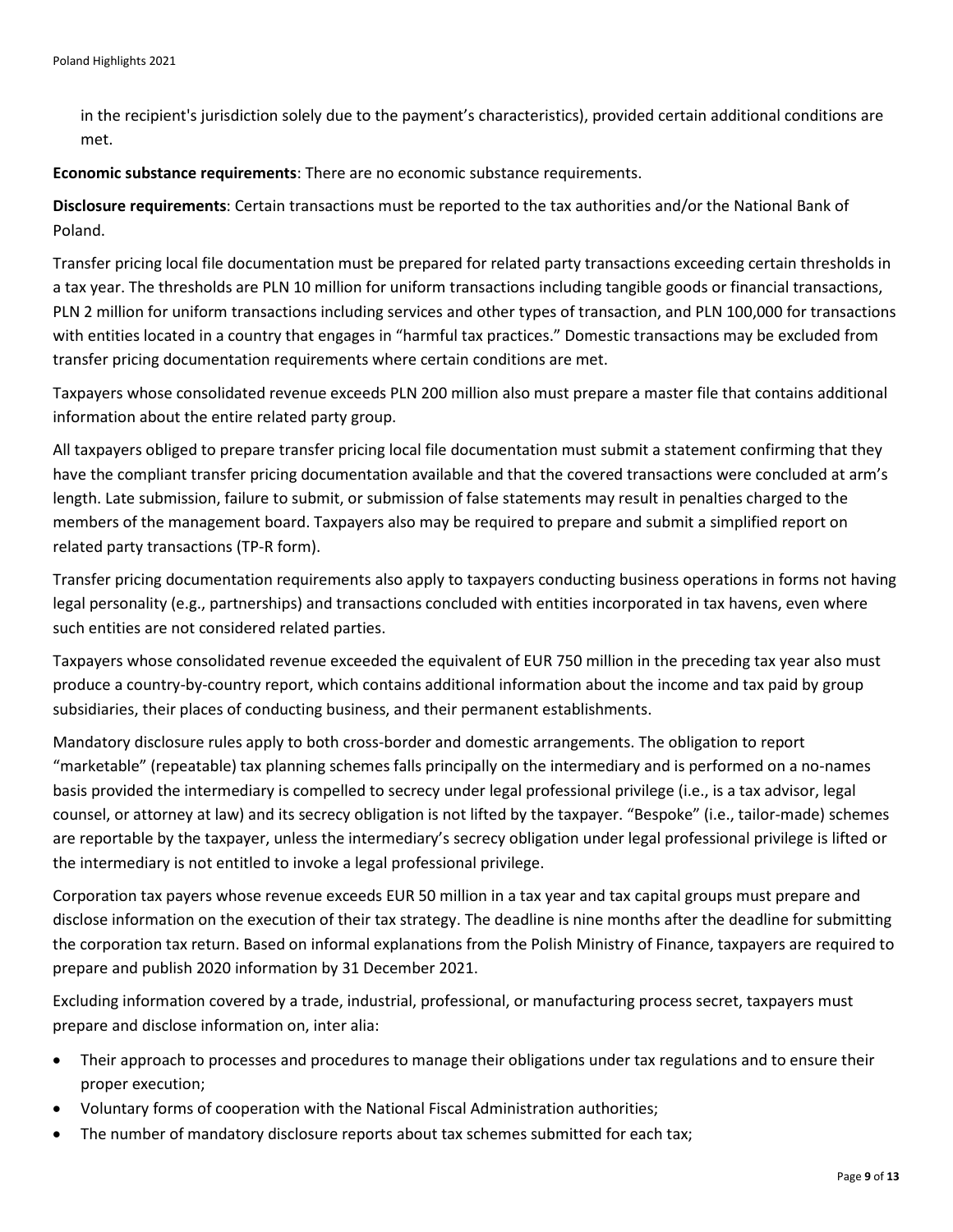in the recipient's jurisdiction solely due to the payment's characteristics), provided certain additional conditions are met.

**Economic substance requirements**: There are no economic substance requirements.

**Disclosure requirements**: Certain transactions must be reported to the tax authorities and/or the National Bank of Poland.

Transfer pricing local file documentation must be prepared for related party transactions exceeding certain thresholds in a tax year. The thresholds are PLN 10 million for uniform transactions including tangible goods or financial transactions, PLN 2 million for uniform transactions including services and other types of transaction, and PLN 100,000 for transactions with entities located in a country that engages in "harmful tax practices." Domestic transactions may be excluded from transfer pricing documentation requirements where certain conditions are met.

Taxpayers whose consolidated revenue exceeds PLN 200 million also must prepare a master file that contains additional information about the entire related party group.

All taxpayers obliged to prepare transfer pricing local file documentation must submit a statement confirming that they have the compliant transfer pricing documentation available and that the covered transactions were concluded at arm's length. Late submission, failure to submit, or submission of false statements may result in penalties charged to the members of the management board. Taxpayers also may be required to prepare and submit a simplified report on related party transactions (TP-R form).

Transfer pricing documentation requirements also apply to taxpayers conducting business operations in forms not having legal personality (e.g., partnerships) and transactions concluded with entities incorporated in tax havens, even where such entities are not considered related parties.

Taxpayers whose consolidated revenue exceeded the equivalent of EUR 750 million in the preceding tax year also must produce a country-by-country report, which contains additional information about the income and tax paid by group subsidiaries, their places of conducting business, and their permanent establishments.

Mandatory disclosure rules apply to both cross-border and domestic arrangements. The obligation to report "marketable" (repeatable) tax planning schemes falls principally on the intermediary and is performed on a no-names basis provided the intermediary is compelled to secrecy under legal professional privilege (i.e., is a tax advisor, legal counsel, or attorney at law) and its secrecy obligation is not lifted by the taxpayer. "Bespoke" (i.e., tailor-made) schemes are reportable by the taxpayer, unless the intermediary's secrecy obligation under legal professional privilege is lifted or the intermediary is not entitled to invoke a legal professional privilege.

Corporation tax payers whose revenue exceeds EUR 50 million in a tax year and tax capital groups must prepare and disclose information on the execution of their tax strategy. The deadline is nine months after the deadline for submitting the corporation tax return. Based on informal explanations from the Polish Ministry of Finance, taxpayers are required to prepare and publish 2020 information by 31 December 2021.

Excluding information covered by a trade, industrial, professional, or manufacturing process secret, taxpayers must prepare and disclose information on, inter alia:

- Their approach to processes and procedures to manage their obligations under tax regulations and to ensure their proper execution;
- Voluntary forms of cooperation with the National Fiscal Administration authorities;
- The number of mandatory disclosure reports about tax schemes submitted for each tax;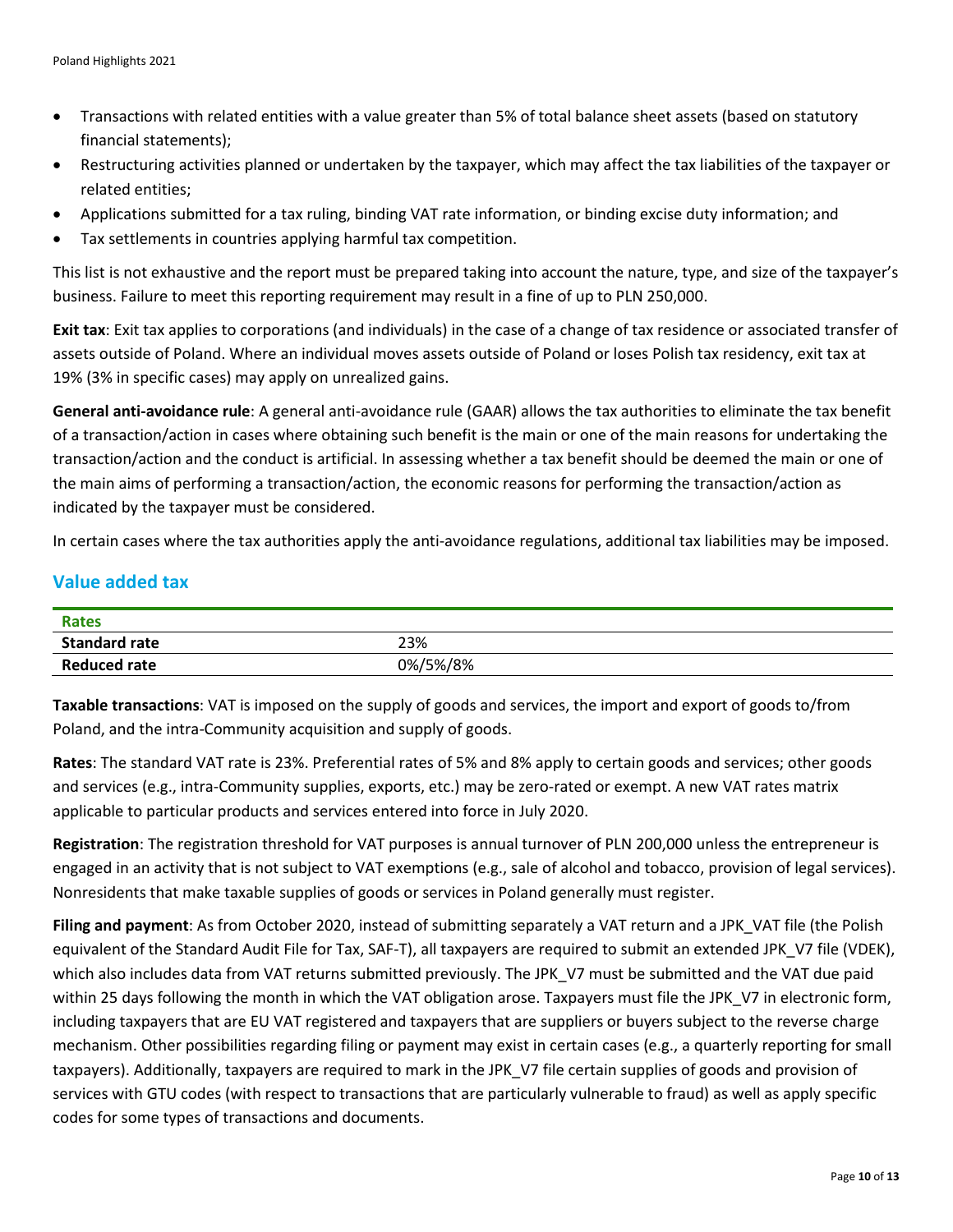- Transactions with related entities with a value greater than 5% of total balance sheet assets (based on statutory financial statements);
- Restructuring activities planned or undertaken by the taxpayer, which may affect the tax liabilities of the taxpayer or related entities;
- Applications submitted for a tax ruling, binding VAT rate information, or binding excise duty information; and
- Tax settlements in countries applying harmful tax competition.

This list is not exhaustive and the report must be prepared taking into account the nature, type, and size of the taxpayer's business. Failure to meet this reporting requirement may result in a fine of up to PLN 250,000.

**Exit tax**: Exit tax applies to corporations (and individuals) in the case of a change of tax residence or associated transfer of assets outside of Poland. Where an individual moves assets outside of Poland or loses Polish tax residency, exit tax at 19% (3% in specific cases) may apply on unrealized gains.

**General anti-avoidance rule**: A general anti-avoidance rule (GAAR) allows the tax authorities to eliminate the tax benefit of a transaction/action in cases where obtaining such benefit is the main or one of the main reasons for undertaking the transaction/action and the conduct is artificial. In assessing whether a tax benefit should be deemed the main or one of the main aims of performing a transaction/action, the economic reasons for performing the transaction/action as indicated by the taxpayer must be considered.

In certain cases where the tax authorities apply the anti-avoidance regulations, additional tax liabilities may be imposed.

#### **Value added tax**

| <b>Rates</b>         |          |
|----------------------|----------|
| <b>Standard rate</b> | 23%      |
| <b>Reduced rate</b>  | 0%/5%/8% |

**Taxable transactions**: VAT is imposed on the supply of goods and services, the import and export of goods to/from Poland, and the intra-Community acquisition and supply of goods.

**Rates**: The standard VAT rate is 23%. Preferential rates of 5% and 8% apply to certain goods and services; other goods and services (e.g., intra-Community supplies, exports, etc.) may be zero-rated or exempt. A new VAT rates matrix applicable to particular products and services entered into force in July 2020.

**Registration**: The registration threshold for VAT purposes is annual turnover of PLN 200,000 unless the entrepreneur is engaged in an activity that is not subject to VAT exemptions (e.g., sale of alcohol and tobacco, provision of legal services). Nonresidents that make taxable supplies of goods or services in Poland generally must register.

**Filing and payment**: As from October 2020, instead of submitting separately a VAT return and a JPK\_VAT file (the Polish equivalent of the Standard Audit File for Tax, SAF-T), all taxpayers are required to submit an extended JPK\_V7 file (VDEK), which also includes data from VAT returns submitted previously. The JPK\_V7 must be submitted and the VAT due paid within 25 days following the month in which the VAT obligation arose. Taxpayers must file the JPK V7 in electronic form, including taxpayers that are EU VAT registered and taxpayers that are suppliers or buyers subject to the reverse charge mechanism. Other possibilities regarding filing or payment may exist in certain cases (e.g., a quarterly reporting for small taxpayers). Additionally, taxpayers are required to mark in the JPK V7 file certain supplies of goods and provision of services with GTU codes (with respect to transactions that are particularly vulnerable to fraud) as well as apply specific codes for some types of transactions and documents.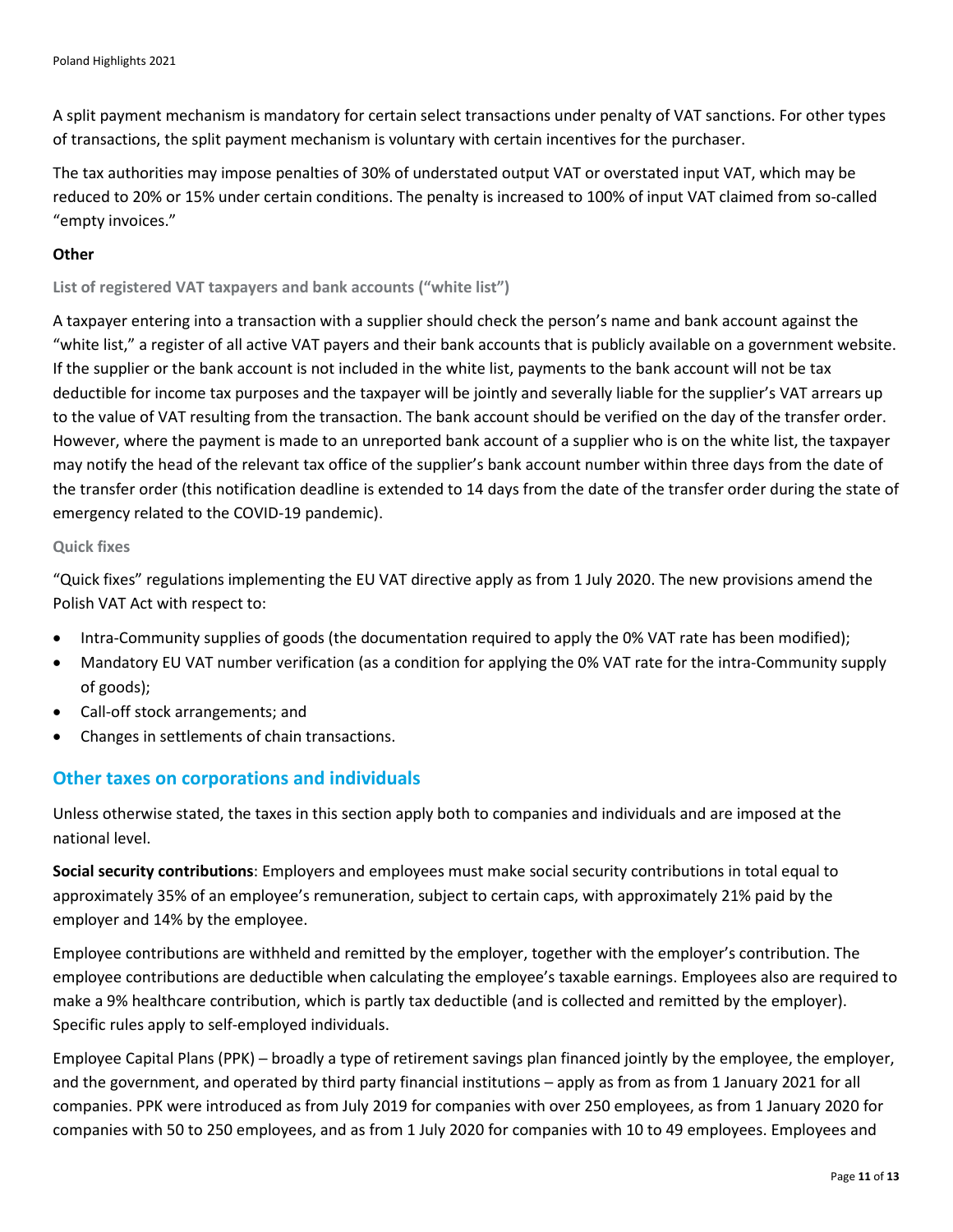A split payment mechanism is mandatory for certain select transactions under penalty of VAT sanctions. For other types of transactions, the split payment mechanism is voluntary with certain incentives for the purchaser.

The tax authorities may impose penalties of 30% of understated output VAT or overstated input VAT, which may be reduced to 20% or 15% under certain conditions. The penalty is increased to 100% of input VAT claimed from so-called "empty invoices."

#### **Other**

**List of registered VAT taxpayers and bank accounts ("white list")**

A taxpayer entering into a transaction with a supplier should check the person's name and bank account against the "white list," a register of all active VAT payers and their bank accounts that is publicly available on a government website. If the supplier or the bank account is not included in the white list, payments to the bank account will not be tax deductible for income tax purposes and the taxpayer will be jointly and severally liable for the supplier's VAT arrears up to the value of VAT resulting from the transaction. The bank account should be verified on the day of the transfer order. However, where the payment is made to an unreported bank account of a supplier who is on the white list, the taxpayer may notify the head of the relevant tax office of the supplier's bank account number within three days from the date of the transfer order (this notification deadline is extended to 14 days from the date of the transfer order during the state of emergency related to the COVID-19 pandemic).

#### **Quick fixes**

"Quick fixes" regulations implementing the EU VAT directive apply as from 1 July 2020. The new provisions amend the Polish VAT Act with respect to:

- Intra-Community supplies of goods (the documentation required to apply the 0% VAT rate has been modified);
- Mandatory EU VAT number verification (as a condition for applying the 0% VAT rate for the intra-Community supply of goods);
- Call-off stock arrangements; and
- Changes in settlements of chain transactions.

#### **Other taxes on corporations and individuals**

Unless otherwise stated, the taxes in this section apply both to companies and individuals and are imposed at the national level.

**Social security contributions**: Employers and employees must make social security contributions in total equal to approximately 35% of an employee's remuneration, subject to certain caps, with approximately 21% paid by the employer and 14% by the employee.

Employee contributions are withheld and remitted by the employer, together with the employer's contribution. The employee contributions are deductible when calculating the employee's taxable earnings. Employees also are required to make a 9% healthcare contribution, which is partly tax deductible (and is collected and remitted by the employer). Specific rules apply to self-employed individuals.

Employee Capital Plans (PPK) ─ broadly a type of retirement savings plan financed jointly by the employee, the employer, and the government, and operated by third party financial institutions – apply as from as from 1 January 2021 for all companies. PPK were introduced as from July 2019 for companies with over 250 employees, as from 1 January 2020 for companies with 50 to 250 employees, and as from 1 July 2020 for companies with 10 to 49 employees. Employees and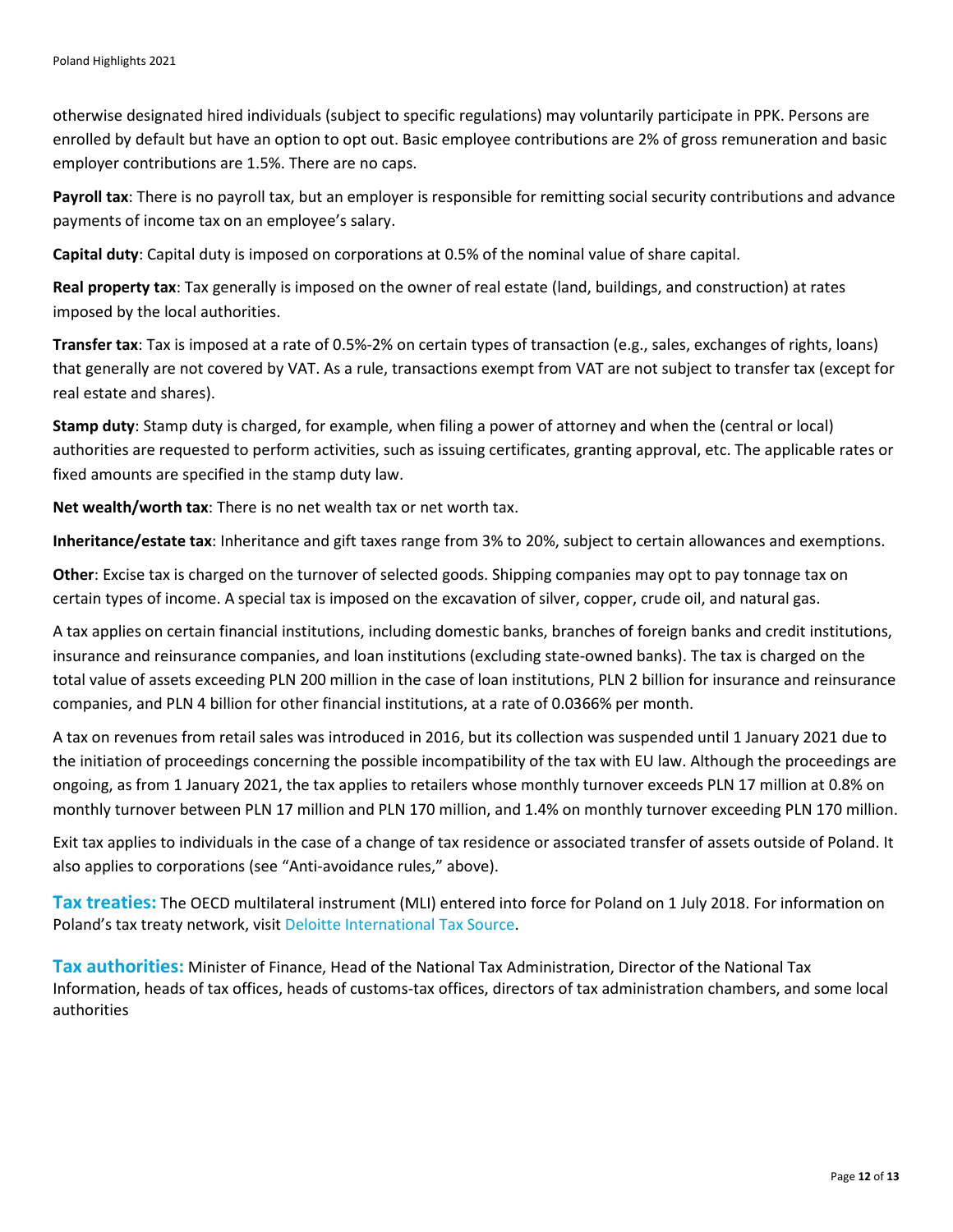otherwise designated hired individuals (subject to specific regulations) may voluntarily participate in PPK. Persons are enrolled by default but have an option to opt out. Basic employee contributions are 2% of gross remuneration and basic employer contributions are 1.5%. There are no caps.

**Payroll tax**: There is no payroll tax, but an employer is responsible for remitting social security contributions and advance payments of income tax on an employee's salary.

**Capital duty**: Capital duty is imposed on corporations at 0.5% of the nominal value of share capital.

**Real property tax**: Tax generally is imposed on the owner of real estate (land, buildings, and construction) at rates imposed by the local authorities.

**Transfer tax**: Tax is imposed at a rate of 0.5%-2% on certain types of transaction (e.g., sales, exchanges of rights, loans) that generally are not covered by VAT. As a rule, transactions exempt from VAT are not subject to transfer tax (except for real estate and shares).

**Stamp duty**: Stamp duty is charged, for example, when filing a power of attorney and when the (central or local) authorities are requested to perform activities, such as issuing certificates, granting approval, etc. The applicable rates or fixed amounts are specified in the stamp duty law.

**Net wealth/worth tax**: There is no net wealth tax or net worth tax.

**Inheritance/estate tax**: Inheritance and gift taxes range from 3% to 20%, subject to certain allowances and exemptions.

**Other**: Excise tax is charged on the turnover of selected goods. Shipping companies may opt to pay tonnage tax on certain types of income. A special tax is imposed on the excavation of silver, copper, crude oil, and natural gas.

A tax applies on certain financial institutions, including domestic banks, branches of foreign banks and credit institutions, insurance and reinsurance companies, and loan institutions (excluding state-owned banks). The tax is charged on the total value of assets exceeding PLN 200 million in the case of loan institutions, PLN 2 billion for insurance and reinsurance companies, and PLN 4 billion for other financial institutions, at a rate of 0.0366% per month.

A tax on revenues from retail sales was introduced in 2016, but its collection was suspended until 1 January 2021 due to the initiation of proceedings concerning the possible incompatibility of the tax with EU law. Although the proceedings are ongoing, as from 1 January 2021, the tax applies to retailers whose monthly turnover exceeds PLN 17 million at 0.8% on monthly turnover between PLN 17 million and PLN 170 million, and 1.4% on monthly turnover exceeding PLN 170 million.

Exit tax applies to individuals in the case of a change of tax residence or associated transfer of assets outside of Poland. It also applies to corporations (see "Anti-avoidance rules," above).

**Tax treaties:** The OECD multilateral instrument (MLI) entered into force for Poland on 1 July 2018. For information on Poland's tax treaty network, visit [Deloitte International Tax Source.](https://dits.deloitte.com/#Jurisdiction/42)

**Tax authorities:** Minister of Finance, Head of the National Tax Administration, Director of the National Tax Information, heads of tax offices, heads of customs-tax offices, directors of tax administration chambers, and some local authorities